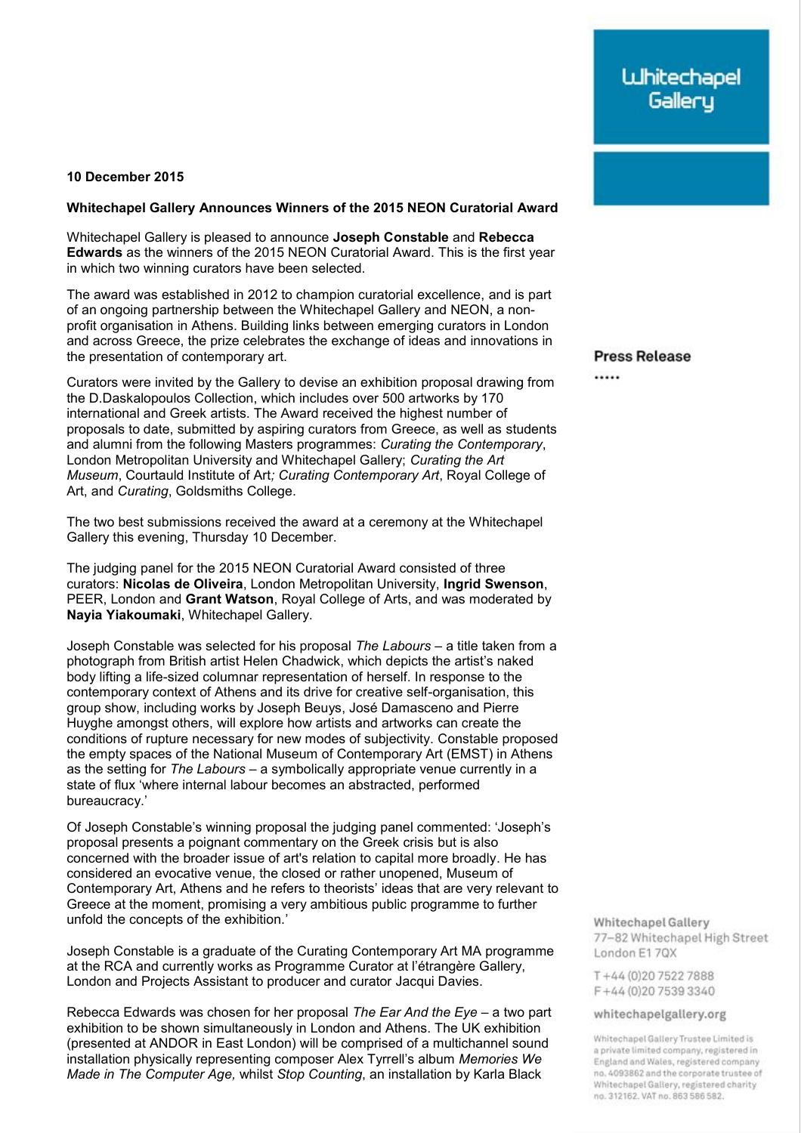## **10 December 2015**

## **Whitechapel Gallery Announces Winners of the 2015 NEON Curatorial Award**

Whitechapel Gallery is pleased to announce **Joseph Constable** and **Rebecca Edwards** as the winners of the 2015 NEON Curatorial Award. This is the first year in which two winning curators have been selected.

The award was established in 2012 to champion curatorial excellence, and is part of an ongoing partnership between the Whitechapel Gallery and NEON, a nonprofit organisation in Athens. Building links between emerging curators in London and across Greece, the prize celebrates the exchange of ideas and innovations in the presentation of contemporary art.

Curators were invited by the Gallery to devise an exhibition proposal drawing from the D.Daskalopoulos Collection, which includes over 500 artworks by 170 international and Greek artists. The Award received the highest number of proposals to date, submitted by aspiring curators from Greece, as well as students and alumni from the following Masters programmes: *Curating the Contemporary*, London Metropolitan University and Whitechapel Gallery; *Curating the Art Museum*, Courtauld Institute of Art*; Curating Contemporary Art*, Royal College of Art, and *Curating*, Goldsmiths College.

The two best submissions received the award at a ceremony at the Whitechapel Gallery this evening, Thursday 10 December.

The judging panel for the 2015 NEON Curatorial Award consisted of three curators: **Nicolas de Oliveira**, London Metropolitan University, **Ingrid Swenson**, PEER, London and **Grant Watson**, Royal College of Arts, and was moderated by **Nayia Yiakoumaki**, Whitechapel Gallery.

Joseph Constable was selected for his proposal *The Labours –* a title taken from a photograph from British artist Helen Chadwick, which depicts the artist's naked body lifting a life-sized columnar representation of herself. In response to the contemporary context of Athens and its drive for creative self-organisation, this group show, including works by Joseph Beuys, José Damasceno and Pierre Huyghe amongst others, will explore how artists and artworks can create the conditions of rupture necessary for new modes of subjectivity. Constable proposed the empty spaces of the National Museum of Contemporary Art (EMST) in Athens as the setting for *The Labours* – a symbolically appropriate venue currently in a state of flux 'where internal labour becomes an abstracted, performed bureaucracy.'

Of Joseph Constable's winning proposal the judging panel commented: 'Joseph's proposal presents a poignant commentary on the Greek crisis but is also concerned with the broader issue of art's relation to capital more broadly. He has considered an evocative venue, the closed or rather unopened, Museum of Contemporary Art, Athens and he refers to theorists' ideas that are very relevant to Greece at the moment, promising a very ambitious public programme to further unfold the concepts of the exhibition.'

Joseph Constable is a graduate of the Curating Contemporary Art MA programme at the RCA and currently works as Programme Curator at l'étrangère Gallery, London and Projects Assistant to producer and curator Jacqui Davies.

Rebecca Edwards was chosen for her proposal *The Ear And the Eye –* a two part exhibition to be shown simultaneously in London and Athens. The UK exhibition (presented at ANDOR in East London) will be comprised of a multichannel sound installation physically representing composer Alex Tyrrell's album *Memories We Made in The Computer Age,* whilst *Stop Counting*, an installation by Karla Black

**Press Release** 

.....

Whitechapel Gallery 77-82 Whitechapel High Street London E170X

T+44 (0) 20 7522 7888 F+44 (0) 20 7539 3340

whitechapelgallery.org

Whitechapel Gallery Trustee Limited is a private limited company, registered in England and Wales, registered company no. 4093862 and the corporate trustee of Whitechapel Gallery, registered charity no. 312162. VAT no. 863 586 582.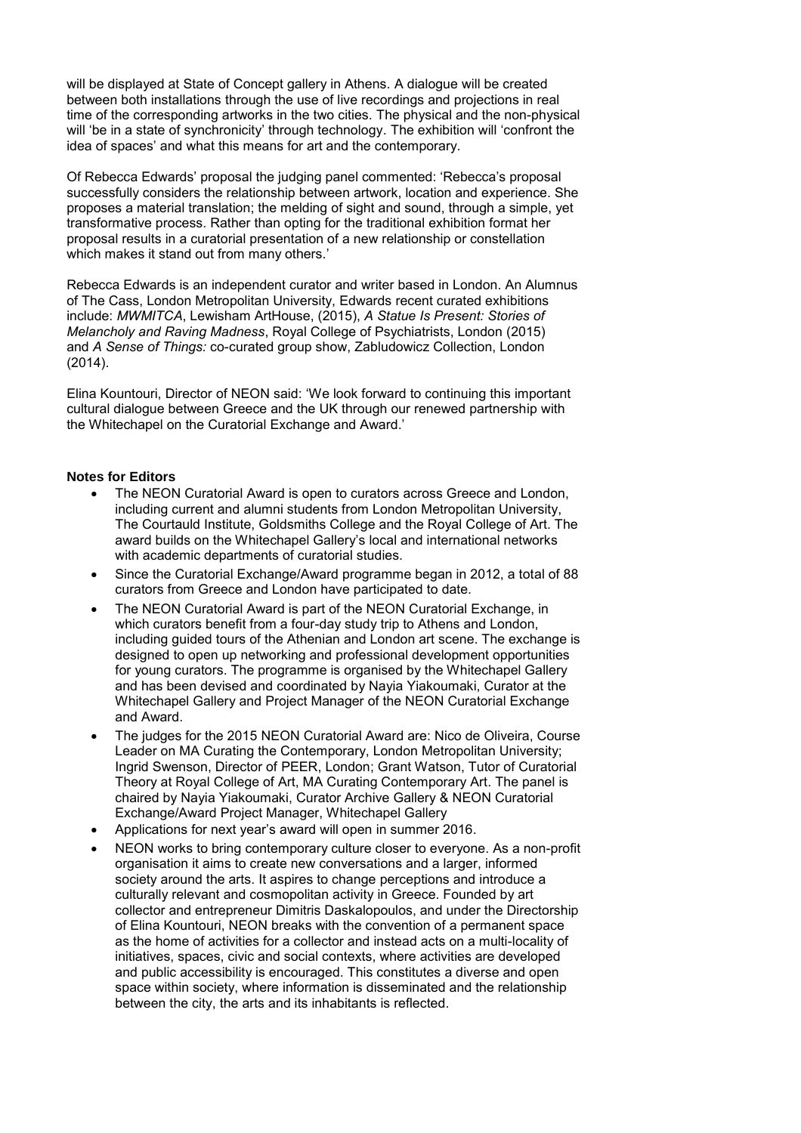will be displayed at State of Concept gallery in Athens. A dialogue will be created between both installations through the use of live recordings and projections in real time of the corresponding artworks in the two cities. The physical and the non-physical will 'be in a state of synchronicity' through technology. The exhibition will 'confront the idea of spaces' and what this means for art and the contemporary.

Of Rebecca Edwards' proposal the judging panel commented: 'Rebecca's proposal successfully considers the relationship between artwork, location and experience. She proposes a material translation; the melding of sight and sound, through a simple, yet transformative process. Rather than opting for the traditional exhibition format her proposal results in a curatorial presentation of a new relationship or constellation which makes it stand out from many others.'

Rebecca Edwards is an independent curator and writer based in London. An Alumnus of The Cass, London Metropolitan University, Edwards recent curated exhibitions include: *MWMITCA*, Lewisham ArtHouse, (2015), *A Statue Is Present: Stories of Melancholy and Raving Madness*, Royal College of Psychiatrists, London (2015) and *A Sense of Things:* co-curated group show, Zabludowicz Collection, London (2014).

Elina Kountouri, Director of NEON said: 'We look forward to continuing this important cultural dialogue between Greece and the UK through our renewed partnership with the Whitechapel on the Curatorial Exchange and Award.'

## **Notes for Editors**

- The NEON Curatorial Award is open to curators across Greece and London, including current and alumni students from London Metropolitan University, The Courtauld Institute, Goldsmiths College and the Royal College of Art. The award builds on the Whitechapel Gallery's local and international networks with academic departments of curatorial studies.
- Since the Curatorial Exchange/Award programme began in 2012, a total of 88 curators from Greece and London have participated to date.
- The NEON Curatorial Award is part of the NEON Curatorial Exchange, in which curators benefit from a four-day study trip to Athens and London, including guided tours of the Athenian and London art scene. The exchange is designed to open up networking and professional development opportunities for young curators. The programme is organised by the Whitechapel Gallery and has been devised and coordinated by Nayia Yiakoumaki, Curator at the Whitechapel Gallery and Project Manager of the NEON Curatorial Exchange and Award.
- The judges for the 2015 NEON Curatorial Award are: Nico de Oliveira, Course Leader on MA Curating the Contemporary, London Metropolitan University; Ingrid Swenson, Director of PEER, London; Grant Watson, Tutor of Curatorial Theory at Royal College of Art, MA Curating Contemporary Art. The panel is chaired by Nayia Yiakoumaki, Curator Archive Gallery & NEON Curatorial Exchange/Award Project Manager, Whitechapel Gallery
- Applications for next year's award will open in summer 2016.
- NEON works to bring contemporary culture closer to everyone. As a non-profit organisation it aims to create new conversations and a larger, informed society around the arts. It aspires to change perceptions and introduce a culturally relevant and cosmopolitan activity in Greece. Founded by art collector and entrepreneur Dimitris Daskalopoulos, and under the Directorship of Elina Kountouri, NEON breaks with the convention of a permanent space as the home of activities for a collector and instead acts on a multi-locality of initiatives, spaces, civic and social contexts, where activities are developed and public accessibility is encouraged. This constitutes a diverse and open space within society, where information is disseminated and the relationship between the city, the arts and its inhabitants is reflected.